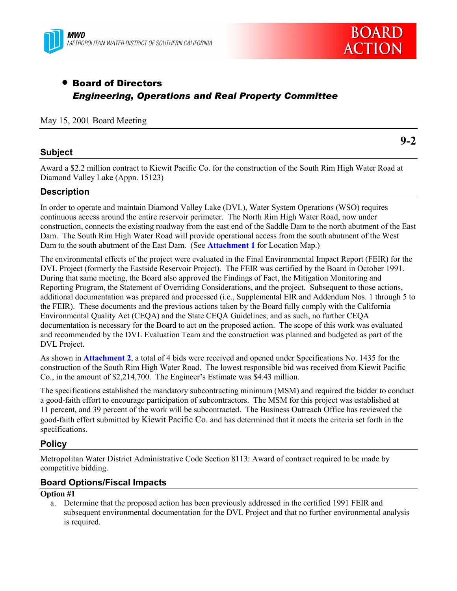



# • Board of Directors *Engineering, Operations and Real Property Committee*

### May 15, 2001 Board Meeting

## **Subject**

**9-2**

Award a \$2.2 million contract to Kiewit Pacific Co. for the construction of the South Rim High Water Road at Diamond Valley Lake (Appn. 15123)

## **Description**

In order to operate and maintain Diamond Valley Lake (DVL), Water System Operations (WSO) requires continuous access around the entire reservoir perimeter. The North Rim High Water Road, now under construction, connects the existing roadway from the east end of the Saddle Dam to the north abutment of the East Dam. The South Rim High Water Road will provide operational access from the south abutment of the West Dam to the south abutment of the East Dam. (See **Attachment 1** for Location Map.)

The environmental effects of the project were evaluated in the Final Environmental Impact Report (FEIR) for the DVL Project (formerly the Eastside Reservoir Project). The FEIR was certified by the Board in October 1991. During that same meeting, the Board also approved the Findings of Fact, the Mitigation Monitoring and Reporting Program, the Statement of Overriding Considerations, and the project. Subsequent to those actions, additional documentation was prepared and processed (i.e., Supplemental EIR and Addendum Nos. 1 through 5 to the FEIR). These documents and the previous actions taken by the Board fully comply with the California Environmental Quality Act (CEQA) and the State CEQA Guidelines, and as such, no further CEQA documentation is necessary for the Board to act on the proposed action. The scope of this work was evaluated and recommended by the DVL Evaluation Team and the construction was planned and budgeted as part of the DVL Project.

As shown in **Attachment 2**, a total of 4 bids were received and opened under Specifications No. 1435 for the construction of the South Rim High Water Road. The lowest responsible bid was received from Kiewit Pacific Co., in the amount of \$2,214,700. The Engineer's Estimate was \$4.43 million.

The specifications established the mandatory subcontracting minimum (MSM) and required the bidder to conduct a good-faith effort to encourage participation of subcontractors. The MSM for this project was established at 11 percent, and 39 percent of the work will be subcontracted. The Business Outreach Office has reviewed the good-faith effort submitted by Kiewit Pacific Co. and has determined that it meets the criteria set forth in the specifications.

## **Policy**

Metropolitan Water District Administrative Code Section 8113: Award of contract required to be made by competitive bidding.

## **Board Options/Fiscal Impacts**

#### **Option #1**

a. Determine that the proposed action has been previously addressed in the certified 1991 FEIR and subsequent environmental documentation for the DVL Project and that no further environmental analysis is required.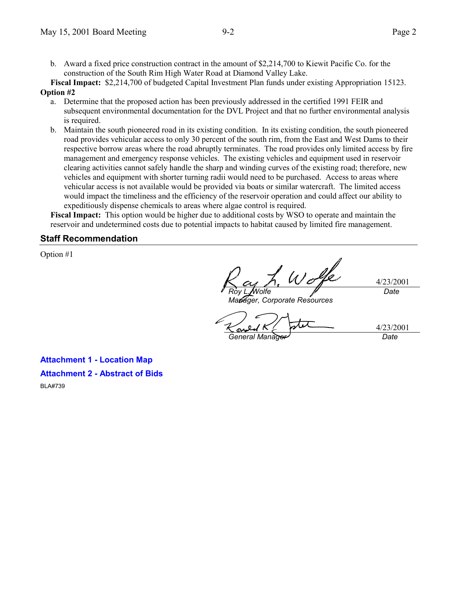b. Award a fixed price construction contract in the amount of \$2,214,700 to Kiewit Pacific Co. for the construction of the South Rim High Water Road at Diamond Valley Lake.

**Fiscal Impact:** \$2,214,700 of budgeted Capital Investment Plan funds under existing Appropriation 15123. **Option #2**

- a. Determine that the proposed action has been previously addressed in the certified 1991 FEIR and subsequent environmental documentation for the DVL Project and that no further environmental analysis is required.
- b. Maintain the south pioneered road in its existing condition. In its existing condition, the south pioneered road provides vehicular access to only 30 percent of the south rim, from the East and West Dams to their respective borrow areas where the road abruptly terminates. The road provides only limited access by fire management and emergency response vehicles. The existing vehicles and equipment used in reservoir clearing activities cannot safely handle the sharp and winding curves of the existing road; therefore, new vehicles and equipment with shorter turning radii would need to be purchased. Access to areas where vehicular access is not available would be provided via boats or similar watercraft. The limited access would impact the timeliness and the efficiency of the reservoir operation and could affect our ability to expeditiously dispense chemicals to areas where algae control is required.

**Fiscal Impact:** This option would be higher due to additional costs by WSO to operate and maintain the reservoir and undetermined costs due to potential impacts to habitat caused by limited fire management.

## **Staff Recommendation**

Option #1

Wolfe 4/23/2001 *Date Roy L. Wolfe*

*Manager, Corporate Resources*

4/23/2001 *General Manager Date*

**Attachment 1 - Location Map Attachment 2 - Abstract of Bids** BLA#739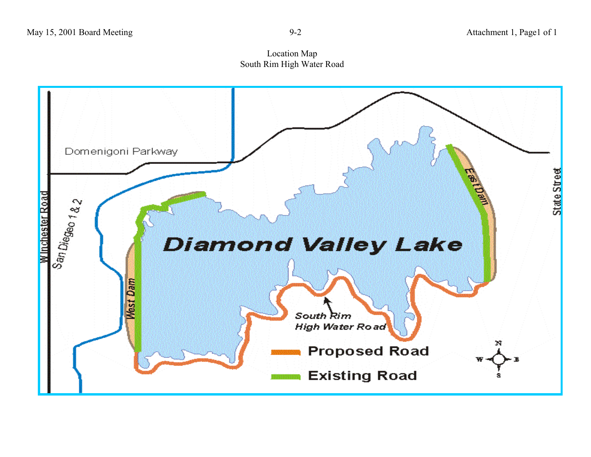Location Map South Rim High Water Road